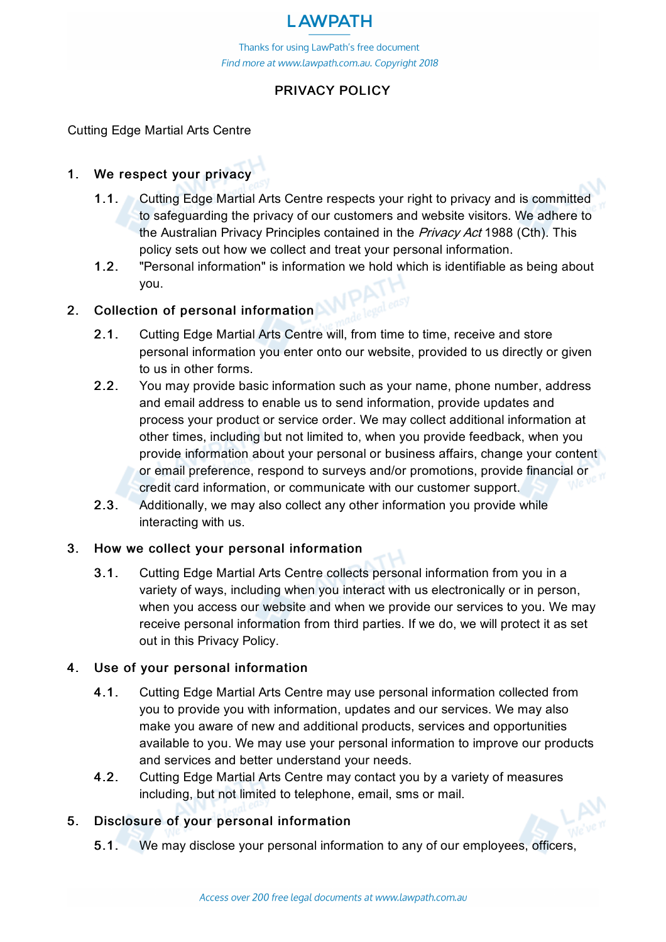# **I AWPATH**

Thanks for using LawPath's free document Find more at www.lawpath.com.au. Copyright 2018

# PRIVACY POLICY

Cutting Edge Martial Arts Centre

### 1. We respect your privacy

- 1.1. Cutting Edge Martial Arts Centre respects your right to privacy and is committed to safeguarding the privacy of our customers and website visitors. We adhere to the Australian Privacy Principles contained in the Privacy Act 1988 (Cth). This policy sets out how we collect and treat your personal information.
- 1.2. "Personal information" is information we hold which is identifiable as being about you.

### 2. Collection of personal information

- 2.1. Cutting Edge Martial Arts Centre will, from time to time, receive and store personal information you enter onto our website, provided to us directly or given to us in other forms.
- 2.2. You may provide basic information such as your name, phone number, address and email address to enable us to send information, provide updates and process your product or service order. We may collect additional information at other times, including but not limited to, when you provide feedback, when you provide information about your personal or business affairs, change your content or email preference, respond to surveys and/or promotions, provide financial or credit card information, or communicate with our customer support.
- 2.3. Additionally, we may also collect any other information you provide while interacting with us.

## 3. How we collect your personal information

3.1. Cutting Edge Martial Arts Centre collects personal information from you in a variety of ways, including when you interact with us electronically or in person, when you access our website and when we provide our services to you. We may receive personal information from third parties. If we do, we will protect it as set out in this Privacy Policy.

## 4. Use of your personal information

- 4.1. Cutting Edge Martial Arts Centre may use personal information collected from you to provide you with information, updates and our services. We may also make you aware of new and additional products, services and opportunities available to you. We may use your personal information to improve our products and services and better understand your needs.
- 4.2. Cutting Edge Martial Arts Centre may contact you by a variety of measures including, but not limited to telephone, email, sms or mail.

## 5. Disclosure of your personal information

5.1. We may disclose your personal information to any of our employees, officers,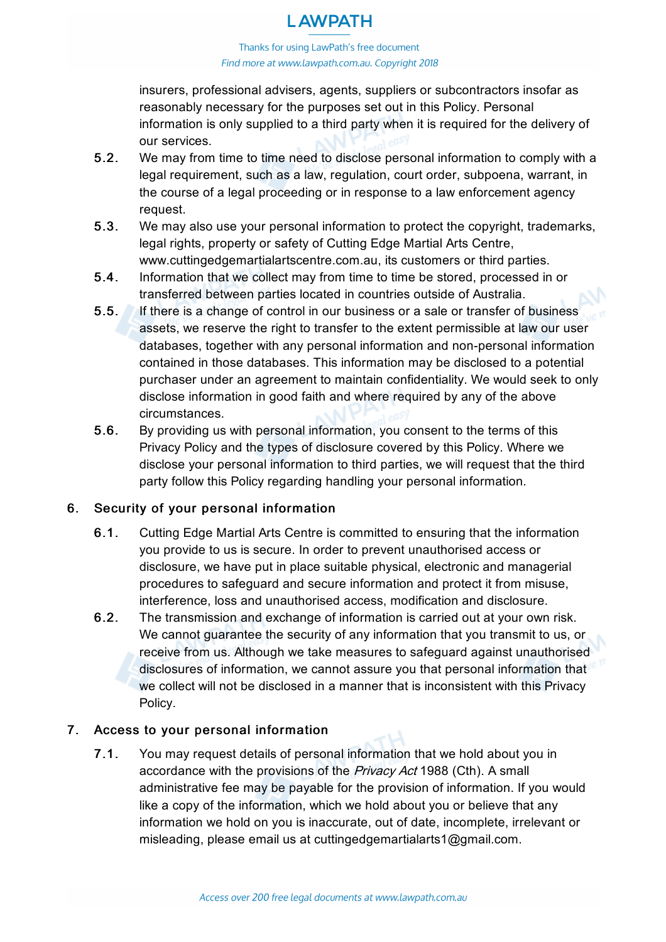# **I AWPATH**

Thanks for using LawPath's free document Find more at www.lawpath.com.au. Copyright 2018

insurers, professional advisers, agents, suppliers or subcontractors insofar as reasonably necessary for the purposes set out in this Policy. Personal information is only supplied to a third party when it is required for the delivery of our services.

- 5.2. We may from time to time need to disclose personal information to comply with a legal requirement, such as a law, regulation, court order, subpoena, warrant, in the course of a legal proceeding or in response to a law enforcement agency request.
- 5.3. We may also use your personal information to protect the copyright, trademarks, legal rights, property or safety of Cutting Edge Martial Arts Centre, www.cuttingedgemartialartscentre.com.au, its customers or third parties.
- 5.4. Information that we collect may from time to time be stored, processed in or transferred between parties located in countries outside of Australia.
- 5.5. If there is a change of control in our business or a sale or transfer of business assets, we reserve the right to transfer to the extent permissible at law our user databases, together with any personal information and non-personal information contained in those databases. This information may be disclosed to a potential purchaser under an agreement to maintain confidentiality. We would seek to only disclose information in good faith and where required by any of the above circumstances.
- 5.6. By providing us with personal information, you consent to the terms of this Privacy Policy and the types of disclosure covered by this Policy. Where we disclose your personal information to third parties, we will request that the third party follow this Policy regarding handling your personal information.

# 6. Security of your personal information

- 6.1. Cutting Edge Martial Arts Centre is committed to ensuring that the information you provide to us is secure. In order to prevent unauthorised access or disclosure, we have put in place suitable physical, electronic and managerial procedures to safeguard and secure information and protect it from misuse, interference, loss and unauthorised access, modification and disclosure.
- 6.2. The transmission and exchange of information is carried out at your own risk. We cannot guarantee the security of any information that you transmit to us, or receive from us. Although we take measures to safeguard against unauthorised disclosures of information, we cannot assure you that personal information that we collect will not be disclosed in a manner that is inconsistent with this Privacy Policy.

# 7. Access to your personal information

7.1. You may request details of personal information that we hold about you in accordance with the provisions of the Privacy Act 1988 (Cth). A small administrative fee may be payable for the provision of information. If you would like a copy of the information, which we hold about you or believe that any information we hold on you is inaccurate, out of date, incomplete, irrelevant or misleading, please email us at cuttingedgemartialarts1@gmail.com.